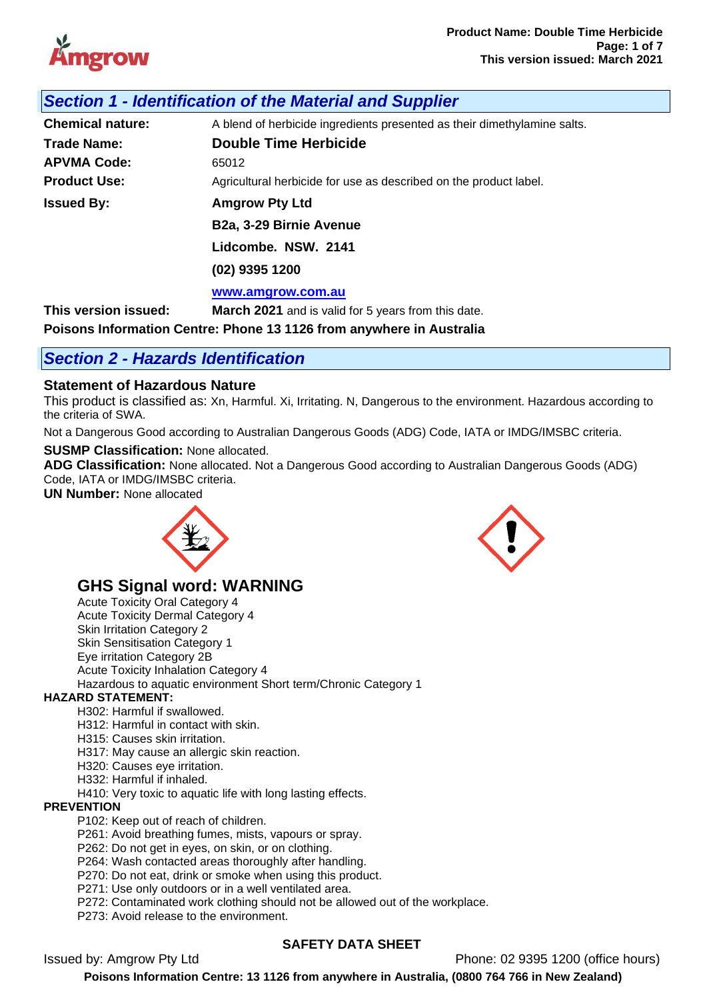

| Section 1 - Identification of the Material and Supplier |
|---------------------------------------------------------|
|---------------------------------------------------------|

| <b>Chemical nature:</b> | A blend of herbicide ingredients presented as their dimethylamine salts. |
|-------------------------|--------------------------------------------------------------------------|
| <b>Trade Name:</b>      | <b>Double Time Herbicide</b>                                             |
| <b>APVMA Code:</b>      | 65012                                                                    |
| <b>Product Use:</b>     | Agricultural herbicide for use as described on the product label.        |
| <b>Issued By:</b>       | <b>Amgrow Pty Ltd</b>                                                    |
|                         | B2a, 3-29 Birnie Avenue                                                  |
|                         | Lidcombe. NSW. 2141                                                      |
|                         | (02) 9395 1200                                                           |
|                         | www.amgrow.com.au                                                        |
| This version issued:    | <b>March 2021</b> and is valid for 5 years from this date.               |

**Poisons Information Centre: Phone 13 1126 from anywhere in Australia**

# *Section 2 - Hazards Identification*

## **Statement of Hazardous Nature**

This product is classified as: Xn, Harmful. Xi, Irritating. N, Dangerous to the environment. Hazardous according to the criteria of SWA.

Not a Dangerous Good according to Australian Dangerous Goods (ADG) Code, IATA or IMDG/IMSBC criteria.

**SUSMP Classification:** None allocated.

**ADG Classification:** None allocated. Not a Dangerous Good according to Australian Dangerous Goods (ADG) Code, IATA or IMDG/IMSBC criteria.

**UN Number:** None allocated



# **GHS Signal word: WARNING**

Acute Toxicity Oral Category 4 Acute Toxicity Dermal Category 4 Skin Irritation Category 2 Skin Sensitisation Category 1 Eye irritation Category 2B Acute Toxicity Inhalation Category 4 Hazardous to aquatic environment Short term/Chronic Category 1

#### **HAZARD STATEMENT:**

- H302: Harmful if swallowed.
- H312: Harmful in contact with skin.
- H315: Causes skin irritation.
- H317: May cause an allergic skin reaction.
- H320: Causes eye irritation.
- H332: Harmful if inhaled.

H410: Very toxic to aquatic life with long lasting effects.

#### **PREVENTION**

P102: Keep out of reach of children.

P261: Avoid breathing fumes, mists, vapours or spray.

- P262: Do not get in eyes, on skin, or on clothing.
- P264: Wash contacted areas thoroughly after handling.
- P270: Do not eat, drink or smoke when using this product.
- P271: Use only outdoors or in a well ventilated area.

P272: Contaminated work clothing should not be allowed out of the workplace.

P273: Avoid release to the environment.



# **SAFETY DATA SHEET**

Issued by: Amgrow Pty Ltd Phone: 02 9395 1200 (office hours)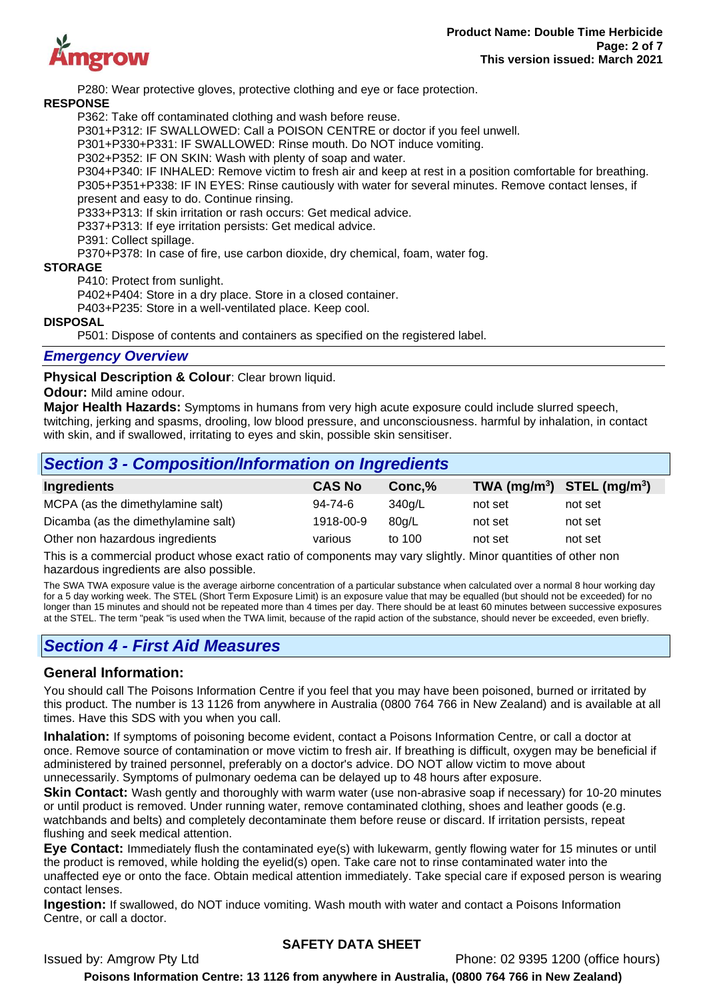

P280: Wear protective gloves, protective clothing and eye or face protection.

#### **RESPONSE**

P362: Take off contaminated clothing and wash before reuse.

P301+P312: IF SWALLOWED: Call a POISON CENTRE or doctor if you feel unwell.

P301+P330+P331: IF SWALLOWED: Rinse mouth. Do NOT induce vomiting.

P302+P352: IF ON SKIN: Wash with plenty of soap and water.

P304+P340: IF INHALED: Remove victim to fresh air and keep at rest in a position comfortable for breathing. P305+P351+P338: IF IN EYES: Rinse cautiously with water for several minutes. Remove contact lenses, if present and easy to do. Continue rinsing.

P333+P313: If skin irritation or rash occurs: Get medical advice.

P337+P313: If eye irritation persists: Get medical advice.

P391: Collect spillage.

P370+P378: In case of fire, use carbon dioxide, dry chemical, foam, water fog.

#### **STORAGE**

P410: Protect from sunlight.

P402+P404: Store in a dry place. Store in a closed container.

P403+P235: Store in a well-ventilated place. Keep cool.

#### **DISPOSAL**

P501: Dispose of contents and containers as specified on the registered label.

#### *Emergency Overview*

**Physical Description & Colour**: Clear brown liquid.

#### **Odour:** Mild amine odour.

**Major Health Hazards:** Symptoms in humans from very high acute exposure could include slurred speech, twitching, jerking and spasms, drooling, low blood pressure, and unconsciousness. harmful by inhalation, in contact with skin, and if swallowed, irritating to eyes and skin, possible skin sensitiser.

| <b>Section 3 - Composition/Information on Ingredients</b> |               |        |                                |         |  |
|-----------------------------------------------------------|---------------|--------|--------------------------------|---------|--|
| <b>Ingredients</b>                                        | <b>CAS No</b> | Conc.% | TWA $(mg/m^3)$ STEL $(mg/m^3)$ |         |  |
| MCPA (as the dimethylamine salt)                          | 94-74-6       | 340g/L | not set                        | not set |  |
| Dicamba (as the dimethylamine salt)                       | 1918-00-9     | 80g/L  | not set                        | not set |  |
| Other non hazardous ingredients                           | various       | to 100 | not set                        | not set |  |

This is a commercial product whose exact ratio of components may vary slightly. Minor quantities of other non hazardous ingredients are also possible.

The SWA TWA exposure value is the average airborne concentration of a particular substance when calculated over a normal 8 hour working day for a 5 day working week. The STEL (Short Term Exposure Limit) is an exposure value that may be equalled (but should not be exceeded) for no longer than 15 minutes and should not be repeated more than 4 times per day. There should be at least 60 minutes between successive exposures at the STEL. The term "peak "is used when the TWA limit, because of the rapid action of the substance, should never be exceeded, even briefly.

# *Section 4 - First Aid Measures*

## **General Information:**

You should call The Poisons Information Centre if you feel that you may have been poisoned, burned or irritated by this product. The number is 13 1126 from anywhere in Australia (0800 764 766 in New Zealand) and is available at all times. Have this SDS with you when you call.

**Inhalation:** If symptoms of poisoning become evident, contact a Poisons Information Centre, or call a doctor at once. Remove source of contamination or move victim to fresh air. If breathing is difficult, oxygen may be beneficial if administered by trained personnel, preferably on a doctor's advice. DO NOT allow victim to move about unnecessarily. Symptoms of pulmonary oedema can be delayed up to 48 hours after exposure.

**Skin Contact:** Wash gently and thoroughly with warm water (use non-abrasive soap if necessary) for 10-20 minutes or until product is removed. Under running water, remove contaminated clothing, shoes and leather goods (e.g. watchbands and belts) and completely decontaminate them before reuse or discard. If irritation persists, repeat flushing and seek medical attention.

**Eye Contact:** Immediately flush the contaminated eye(s) with lukewarm, gently flowing water for 15 minutes or until the product is removed, while holding the eyelid(s) open. Take care not to rinse contaminated water into the unaffected eye or onto the face. Obtain medical attention immediately. Take special care if exposed person is wearing contact lenses.

**Ingestion:** If swallowed, do NOT induce vomiting. Wash mouth with water and contact a Poisons Information Centre, or call a doctor.

## **SAFETY DATA SHEET**

Issued by: Amgrow Pty Ltd **Phone: 02 9395 1200** (office hours)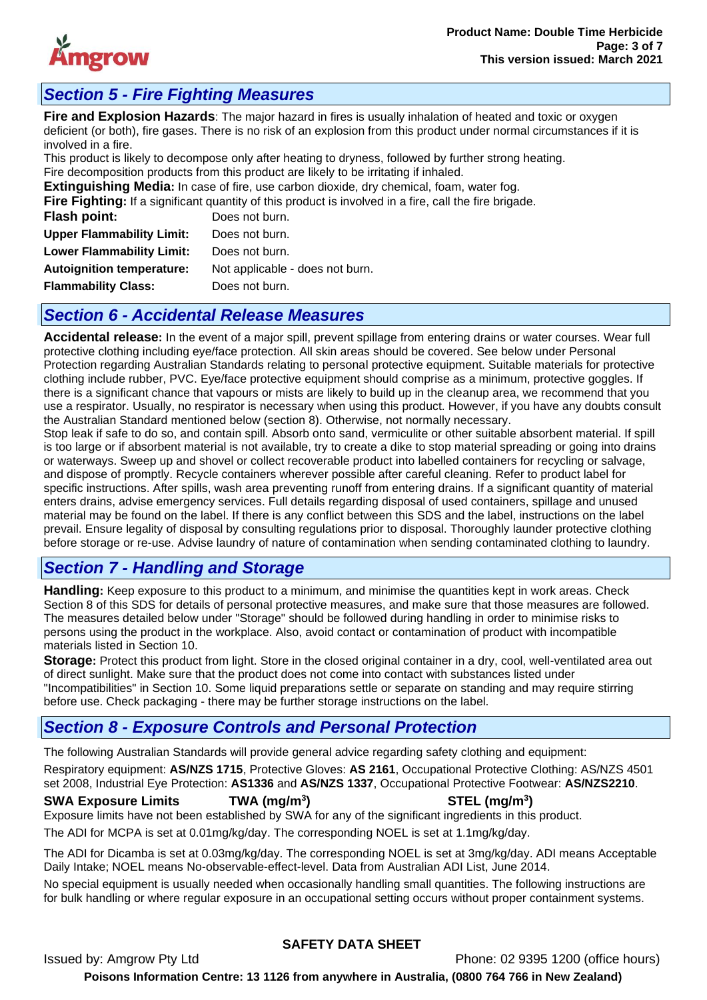

# *Section 5 - Fire Fighting Measures*

**Fire and Explosion Hazards**: The major hazard in fires is usually inhalation of heated and toxic or oxygen deficient (or both), fire gases. There is no risk of an explosion from this product under normal circumstances if it is involved in a fire.

This product is likely to decompose only after heating to dryness, followed by further strong heating. Fire decomposition products from this product are likely to be irritating if inhaled.

**Extinguishing Media:** In case of fire, use carbon dioxide, dry chemical, foam, water fog.

|                                  | Fire Fighting: If a significant quantity of this product is involved in a fire, call the fire brigade. |
|----------------------------------|--------------------------------------------------------------------------------------------------------|
| Flash point:                     | Does not burn.                                                                                         |
| <b>Upper Flammability Limit:</b> | Does not burn.                                                                                         |
| <b>Lower Flammability Limit:</b> | Does not burn.                                                                                         |
| <b>Autoignition temperature:</b> | Not applicable - does not burn.                                                                        |
| <b>Flammability Class:</b>       | Does not burn.                                                                                         |
|                                  |                                                                                                        |

# *Section 6 - Accidental Release Measures*

**Accidental release:** In the event of a major spill, prevent spillage from entering drains or water courses. Wear full protective clothing including eye/face protection. All skin areas should be covered. See below under Personal Protection regarding Australian Standards relating to personal protective equipment. Suitable materials for protective clothing include rubber, PVC. Eye/face protective equipment should comprise as a minimum, protective goggles. If there is a significant chance that vapours or mists are likely to build up in the cleanup area, we recommend that you use a respirator. Usually, no respirator is necessary when using this product. However, if you have any doubts consult the Australian Standard mentioned below (section 8). Otherwise, not normally necessary.

Stop leak if safe to do so, and contain spill. Absorb onto sand, vermiculite or other suitable absorbent material. If spill is too large or if absorbent material is not available, try to create a dike to stop material spreading or going into drains or waterways. Sweep up and shovel or collect recoverable product into labelled containers for recycling or salvage, and dispose of promptly. Recycle containers wherever possible after careful cleaning. Refer to product label for specific instructions. After spills, wash area preventing runoff from entering drains. If a significant quantity of material enters drains, advise emergency services. Full details regarding disposal of used containers, spillage and unused material may be found on the label. If there is any conflict between this SDS and the label, instructions on the label prevail. Ensure legality of disposal by consulting regulations prior to disposal. Thoroughly launder protective clothing before storage or re-use. Advise laundry of nature of contamination when sending contaminated clothing to laundry.

# *Section 7 - Handling and Storage*

**Handling:** Keep exposure to this product to a minimum, and minimise the quantities kept in work areas. Check Section 8 of this SDS for details of personal protective measures, and make sure that those measures are followed. The measures detailed below under "Storage" should be followed during handling in order to minimise risks to persons using the product in the workplace. Also, avoid contact or contamination of product with incompatible materials listed in Section 10.

**Storage:** Protect this product from light. Store in the closed original container in a dry, cool, well-ventilated area out of direct sunlight. Make sure that the product does not come into contact with substances listed under "Incompatibilities" in Section 10. Some liquid preparations settle or separate on standing and may require stirring before use. Check packaging - there may be further storage instructions on the label.

# *Section 8 - Exposure Controls and Personal Protection*

The following Australian Standards will provide general advice regarding safety clothing and equipment: Respiratory equipment: **AS/NZS 1715**, Protective Gloves: **AS 2161**, Occupational Protective Clothing: AS/NZS 4501 set 2008, Industrial Eye Protection: **AS1336** and **AS/NZS 1337**, Occupational Protective Footwear: **AS/NZS2210**.

#### **SWA Exposure Limits TWA (mg/m<sup>3</sup>**

**) STEL (mg/m<sup>3</sup> )** Exposure limits have not been established by SWA for any of the significant ingredients in this product.

The ADI for MCPA is set at 0.01mg/kg/day. The corresponding NOEL is set at 1.1mg/kg/day.

The ADI for Dicamba is set at 0.03mg/kg/day. The corresponding NOEL is set at 3mg/kg/day. ADI means Acceptable Daily Intake; NOEL means No-observable-effect-level. Data from Australian ADI List, June 2014.

No special equipment is usually needed when occasionally handling small quantities. The following instructions are for bulk handling or where regular exposure in an occupational setting occurs without proper containment systems.

## **SAFETY DATA SHEET**

Issued by: Amgrow Pty Ltd Phone: 02 9395 1200 (office hours) **Poisons Information Centre: 13 1126 from anywhere in Australia, (0800 764 766 in New Zealand)**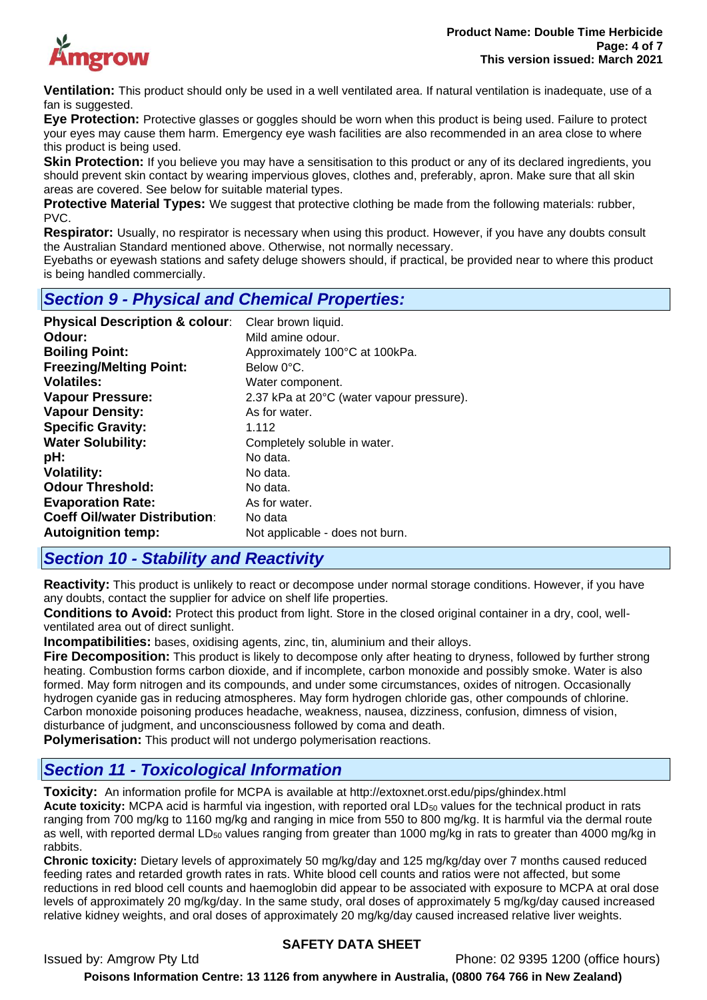

**Ventilation:** This product should only be used in a well ventilated area. If natural ventilation is inadequate, use of a fan is suggested.

**Eye Protection:** Protective glasses or goggles should be worn when this product is being used. Failure to protect your eyes may cause them harm. Emergency eye wash facilities are also recommended in an area close to where this product is being used.

**Skin Protection:** If you believe you may have a sensitisation to this product or any of its declared ingredients, you should prevent skin contact by wearing impervious gloves, clothes and, preferably, apron. Make sure that all skin areas are covered. See below for suitable material types.

**Protective Material Types:** We suggest that protective clothing be made from the following materials: rubber, PVC.

**Respirator:** Usually, no respirator is necessary when using this product. However, if you have any doubts consult the Australian Standard mentioned above. Otherwise, not normally necessary.

Eyebaths or eyewash stations and safety deluge showers should, if practical, be provided near to where this product is being handled commercially.

# *Section 9 - Physical and Chemical Properties:*

| <b>Physical Description &amp; colour:</b> | Clear brown liquid.                       |
|-------------------------------------------|-------------------------------------------|
| Odour:                                    | Mild amine odour.                         |
| <b>Boiling Point:</b>                     | Approximately 100°C at 100kPa.            |
| <b>Freezing/Melting Point:</b>            | Below 0°C.                                |
| <b>Volatiles:</b>                         | Water component.                          |
| <b>Vapour Pressure:</b>                   | 2.37 kPa at 20°C (water vapour pressure). |
| <b>Vapour Density:</b>                    | As for water.                             |
| <b>Specific Gravity:</b>                  | 1.112                                     |
| <b>Water Solubility:</b>                  | Completely soluble in water.              |
| pH:                                       | No data.                                  |
| <b>Volatility:</b>                        | No data.                                  |
| <b>Odour Threshold:</b>                   | No data.                                  |
| <b>Evaporation Rate:</b>                  | As for water.                             |
| <b>Coeff Oil/water Distribution:</b>      | No data                                   |
| <b>Autoignition temp:</b>                 | Not applicable - does not burn.           |

# *Section 10 - Stability and Reactivity*

**Reactivity:** This product is unlikely to react or decompose under normal storage conditions. However, if you have any doubts, contact the supplier for advice on shelf life properties.

**Conditions to Avoid:** Protect this product from light. Store in the closed original container in a dry, cool, wellventilated area out of direct sunlight.

**Incompatibilities:** bases, oxidising agents, zinc, tin, aluminium and their alloys.

**Fire Decomposition:** This product is likely to decompose only after heating to dryness, followed by further strong heating. Combustion forms carbon dioxide, and if incomplete, carbon monoxide and possibly smoke. Water is also formed. May form nitrogen and its compounds, and under some circumstances, oxides of nitrogen. Occasionally hydrogen cyanide gas in reducing atmospheres. May form hydrogen chloride gas, other compounds of chlorine. Carbon monoxide poisoning produces headache, weakness, nausea, dizziness, confusion, dimness of vision, disturbance of judgment, and unconsciousness followed by coma and death.

**Polymerisation:** This product will not undergo polymerisation reactions.

# *Section 11 - Toxicological Information*

**Toxicity:** An information profile for MCPA is available at http://extoxnet.orst.edu/pips/ghindex.html **Acute toxicity:** MCPA acid is harmful via ingestion, with reported oral LD<sub>50</sub> values for the technical product in rats ranging from 700 mg/kg to 1160 mg/kg and ranging in mice from 550 to 800 mg/kg. It is harmful via the dermal route as well, with reported dermal LD<sub>50</sub> values ranging from greater than 1000 mg/kg in rats to greater than 4000 mg/kg in rabbits.

**Chronic toxicity:** Dietary levels of approximately 50 mg/kg/day and 125 mg/kg/day over 7 months caused reduced feeding rates and retarded growth rates in rats. White blood cell counts and ratios were not affected, but some reductions in red blood cell counts and haemoglobin did appear to be associated with exposure to MCPA at oral dose levels of approximately 20 mg/kg/day. In the same study, oral doses of approximately 5 mg/kg/day caused increased relative kidney weights, and oral doses of approximately 20 mg/kg/day caused increased relative liver weights.

## **SAFETY DATA SHEET**

Issued by: Amgrow Pty Ltd Phone: 02 9395 1200 (office hours)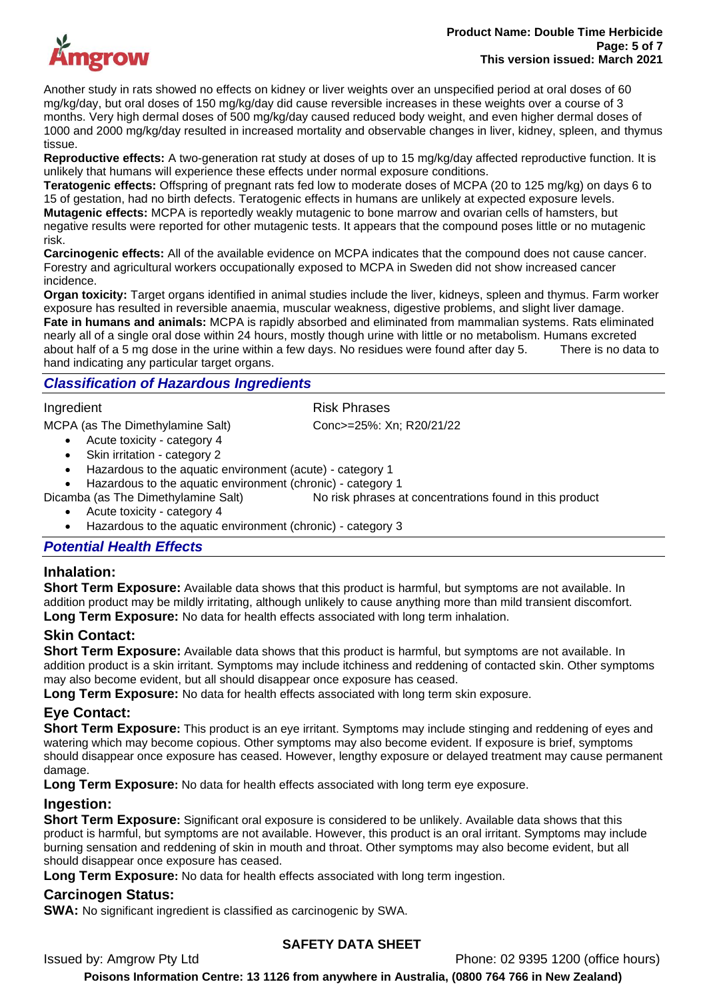

Another study in rats showed no effects on kidney or liver weights over an unspecified period at oral doses of 60 mg/kg/day, but oral doses of 150 mg/kg/day did cause reversible increases in these weights over a course of 3 months. Very high dermal doses of 500 mg/kg/day caused reduced body weight, and even higher dermal doses of 1000 and 2000 mg/kg/day resulted in increased mortality and observable changes in liver, kidney, spleen, and thymus tissue.

**Reproductive effects:** A two-generation rat study at doses of up to 15 mg/kg/day affected reproductive function. It is unlikely that humans will experience these effects under normal exposure conditions.

**Teratogenic effects:** Offspring of pregnant rats fed low to moderate doses of MCPA (20 to 125 mg/kg) on days 6 to 15 of gestation, had no birth defects. Teratogenic effects in humans are unlikely at expected exposure levels. **Mutagenic effects:** MCPA is reportedly weakly mutagenic to bone marrow and ovarian cells of hamsters, but negative results were reported for other mutagenic tests. It appears that the compound poses little or no mutagenic risk.

**Carcinogenic effects:** All of the available evidence on MCPA indicates that the compound does not cause cancer. Forestry and agricultural workers occupationally exposed to MCPA in Sweden did not show increased cancer incidence.

**Organ toxicity:** Target organs identified in animal studies include the liver, kidneys, spleen and thymus. Farm worker exposure has resulted in reversible anaemia, muscular weakness, digestive problems, and slight liver damage. **Fate in humans and animals:** MCPA is rapidly absorbed and eliminated from mammalian systems. Rats eliminated nearly all of a single oral dose within 24 hours, mostly though urine with little or no metabolism. Humans excreted about half of a 5 mg dose in the urine within a few days. No residues were found after day 5. There is no data to hand indicating any particular target organs.

## *Classification of Hazardous Ingredients*

Ingredient **Risk Phrases** 

MCPA (as The Dimethylamine Salt) Conc>=25%: Xn; R20/21/22

- Acute toxicity category 4
- Skin irritation category 2
- Hazardous to the aquatic environment (acute) category 1
- Hazardous to the aquatic environment (chronic) category 1
- Dicamba (as The Dimethylamine Salt) No risk phrases at concentrations found in this product
	- Acute toxicity category 4
	- Hazardous to the aquatic environment (chronic) category 3

#### *Potential Health Effects*

## **Inhalation:**

**Short Term Exposure:** Available data shows that this product is harmful, but symptoms are not available. In addition product may be mildly irritating, although unlikely to cause anything more than mild transient discomfort. **Long Term Exposure:** No data for health effects associated with long term inhalation.

## **Skin Contact:**

**Short Term Exposure:** Available data shows that this product is harmful, but symptoms are not available. In addition product is a skin irritant. Symptoms may include itchiness and reddening of contacted skin. Other symptoms may also become evident, but all should disappear once exposure has ceased.

**Long Term Exposure:** No data for health effects associated with long term skin exposure.

## **Eye Contact:**

**Short Term Exposure:** This product is an eye irritant. Symptoms may include stinging and reddening of eyes and watering which may become copious. Other symptoms may also become evident. If exposure is brief, symptoms should disappear once exposure has ceased. However, lengthy exposure or delayed treatment may cause permanent damage.

**Long Term Exposure:** No data for health effects associated with long term eye exposure.

## **Ingestion:**

**Short Term Exposure:** Significant oral exposure is considered to be unlikely. Available data shows that this product is harmful, but symptoms are not available. However, this product is an oral irritant. Symptoms may include burning sensation and reddening of skin in mouth and throat. Other symptoms may also become evident, but all should disappear once exposure has ceased.

**Long Term Exposure:** No data for health effects associated with long term ingestion.

## **Carcinogen Status:**

**SWA:** No significant ingredient is classified as carcinogenic by SWA.

## **SAFETY DATA SHEET**

Issued by: Amgrow Pty Ltd Phone: 02 9395 1200 (office hours)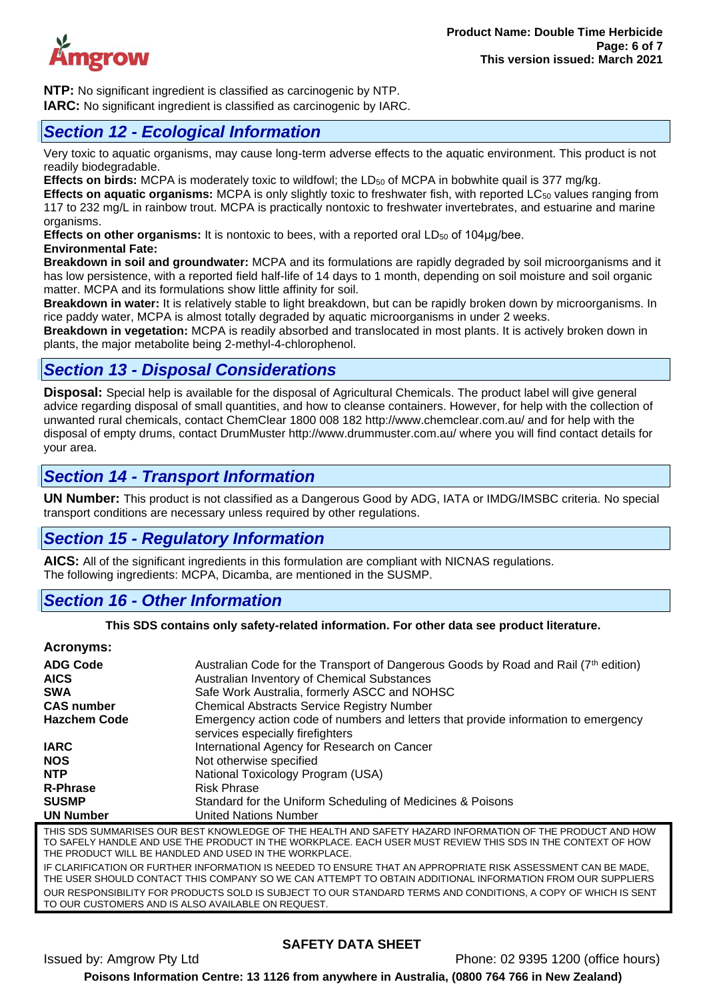

**NTP:** No significant ingredient is classified as carcinogenic by NTP. **IARC:** No significant ingredient is classified as carcinogenic by IARC.

# *Section 12 - Ecological Information*

Very toxic to aquatic organisms, may cause long-term adverse effects to the aquatic environment. This product is not readily biodegradable.

**Effects on birds:** MCPA is moderately toxic to wildfowl; the LD<sub>50</sub> of MCPA in bobwhite quail is 377 mg/kg.

**Effects on aquatic organisms:** MCPA is only slightly toxic to freshwater fish, with reported LC<sub>50</sub> values ranging from 117 to 232 mg/L in rainbow trout. MCPA is practically nontoxic to freshwater invertebrates, and estuarine and marine organisms.

**Effects on other organisms:** It is nontoxic to bees, with a reported oral LD<sub>50</sub> of 104µg/bee. **Environmental Fate:** 

**Breakdown in soil and groundwater:** MCPA and its formulations are rapidly degraded by soil microorganisms and it has low persistence, with a reported field half-life of 14 days to 1 month, depending on soil moisture and soil organic matter. MCPA and its formulations show little affinity for soil.

**Breakdown in water:** It is relatively stable to light breakdown, but can be rapidly broken down by microorganisms. In rice paddy water, MCPA is almost totally degraded by aquatic microorganisms in under 2 weeks.

**Breakdown in vegetation:** MCPA is readily absorbed and translocated in most plants. It is actively broken down in plants, the major metabolite being 2-methyl-4-chlorophenol.

# *Section 13 - Disposal Considerations*

**Disposal:** Special help is available for the disposal of Agricultural Chemicals. The product label will give general advice regarding disposal of small quantities, and how to cleanse containers. However, for help with the collection of unwanted rural chemicals, contact ChemClear 1800 008 182 http://www.chemclear.com.au/ and for help with the disposal of empty drums, contact DrumMuster http://www.drummuster.com.au/ where you will find contact details for your area.

# *Section 14 - Transport Information*

**UN Number:** This product is not classified as a Dangerous Good by ADG, IATA or IMDG/IMSBC criteria. No special transport conditions are necessary unless required by other regulations.

# *Section 15 - Regulatory Information*

**AICS:** All of the significant ingredients in this formulation are compliant with NICNAS regulations. The following ingredients: MCPA, Dicamba, are mentioned in the SUSMP.

# *Section 16 - Other Information*

**This SDS contains only safety-related information. For other data see product literature.**

## **Acronyms:**

| <b>ADG Code</b><br><b>AICS</b><br><b>SWA</b> | Australian Code for the Transport of Dangerous Goods by Road and Rail (7 <sup>th</sup> edition)<br>Australian Inventory of Chemical Substances<br>Safe Work Australia, formerly ASCC and NOHSC                                                                                     |
|----------------------------------------------|------------------------------------------------------------------------------------------------------------------------------------------------------------------------------------------------------------------------------------------------------------------------------------|
| <b>CAS number</b>                            | <b>Chemical Abstracts Service Registry Number</b>                                                                                                                                                                                                                                  |
| <b>Hazchem Code</b>                          | Emergency action code of numbers and letters that provide information to emergency<br>services especially fire fighters                                                                                                                                                            |
| <b>IARC</b>                                  | International Agency for Research on Cancer                                                                                                                                                                                                                                        |
| <b>NOS</b>                                   | Not otherwise specified                                                                                                                                                                                                                                                            |
| <b>NTP</b>                                   | National Toxicology Program (USA)                                                                                                                                                                                                                                                  |
| <b>R-Phrase</b>                              | <b>Risk Phrase</b>                                                                                                                                                                                                                                                                 |
| <b>SUSMP</b>                                 | Standard for the Uniform Scheduling of Medicines & Poisons                                                                                                                                                                                                                         |
| <b>UN Number</b>                             | <b>United Nations Number</b>                                                                                                                                                                                                                                                       |
|                                              | THIS SDS SUMMARISES OUR BEST KNOWLEDGE OF THE HEALTH AND SAFETY HAZARD INFORMATION OF THE PRODUCT AND HOW<br>TO SAFELY HANDLE AND USE THE PRODUCT IN THE WORKPLACE. EACH USER MUST REVIEW THIS SDS IN THE CONTEXT OF HOW<br>THE PRODUCT WILL BE HANDLED AND USED IN THE WORKPLACE. |

IF CLARIFICATION OR FURTHER INFORMATION IS NEEDED TO ENSURE THAT AN APPROPRIATE RISK ASSESSMENT CAN BE MADE, THE USER SHOULD CONTACT THIS COMPANY SO WE CAN ATTEMPT TO OBTAIN ADDITIONAL INFORMATION FROM OUR SUPPLIERS OUR RESPONSIBILITY FOR PRODUCTS SOLD IS SUBJECT TO OUR STANDARD TERMS AND CONDITIONS, A COPY OF WHICH IS SENT TO OUR CUSTOMERS AND IS ALSO AVAILABLE ON REQUEST.

# **SAFETY DATA SHEET**

Issued by: Amgrow Pty Ltd Phone: 02 9395 1200 (office hours)